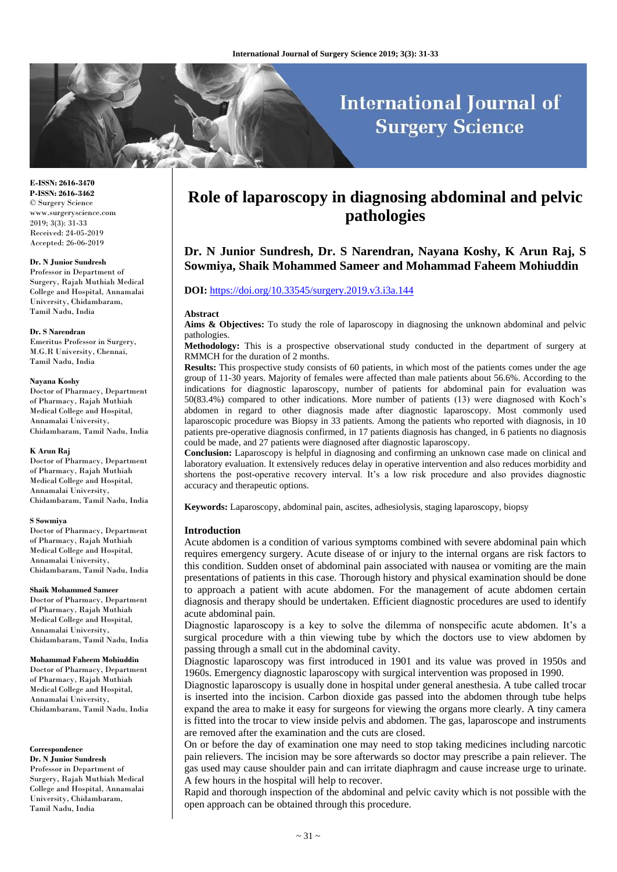# **International Journal of Surgery Science**

**E-ISSN: 2616-3470 P-ISSN: 2616-3462** © Surgery Science www.surgeryscience.com 2019; 3(3): 31-33 Received: 24-05-2019 Accepted: 26-06-2019

#### **Dr. N Junior Sundresh**

Professor in Department of Surgery, Rajah Muthiah Medical College and Hospital, Annamalai University, Chidambaram, Tamil Nadu, India

#### **Dr. S Narendran**

Emeritus Professor in Surgery, M.G.R University, Chennai, Tamil Nadu, India

#### **Nayana Koshy**

Doctor of Pharmacy, Department of Pharmacy, Rajah Muthiah Medical College and Hospital, Annamalai University, Chidambaram, Tamil Nadu, India

#### **K Arun Raj**

Doctor of Pharmacy, Department of Pharmacy, Rajah Muthiah Medical College and Hospital, Annamalai University, Chidambaram, Tamil Nadu, India

#### **S Sowmiya**

Doctor of Pharmacy, Department of Pharmacy, Rajah Muthiah Medical College and Hospital, Annamalai University, Chidambaram, Tamil Nadu, India

#### **Shaik Mohammed Sameer**

Doctor of Pharmacy, Department of Pharmacy, Rajah Muthiah Medical College and Hospital, Annamalai University, Chidambaram, Tamil Nadu, India

#### **Mohammad Faheem Mohiuddin**

Doctor of Pharmacy, Department of Pharmacy, Rajah Muthiah Medical College and Hospital, Annamalai University, Chidambaram, Tamil Nadu, India

#### **Correspondence**

**Dr. N Junior Sundresh** Professor in Department of Surgery, Rajah Muthiah Medical College and Hospital, Annamalai University, Chidambaram, Tamil Nadu, India

# **Role of laparoscopy in diagnosing abdominal and pelvic pathologies**

**Dr. N Junior Sundresh, Dr. S Narendran, Nayana Koshy, K Arun Raj, S Sowmiya, Shaik Mohammed Sameer and Mohammad Faheem Mohiuddin**

# **DOI:** <https://doi.org/10.33545/surgery.2019.v3.i3a.144>

#### **Abstract**

Aims & Objectives: To study the role of laparoscopy in diagnosing the unknown abdominal and pelvic pathologies.

**Methodology:** This is a prospective observational study conducted in the department of surgery at RMMCH for the duration of 2 months.

**Results:** This prospective study consists of 60 patients, in which most of the patients comes under the age group of 11-30 years. Majority of females were affected than male patients about 56.6%. According to the indications for diagnostic laparoscopy, number of patients for abdominal pain for evaluation was 50(83.4%) compared to other indications. More number of patients (13) were diagnosed with Koch's abdomen in regard to other diagnosis made after diagnostic laparoscopy. Most commonly used laparoscopic procedure was Biopsy in 33 patients. Among the patients who reported with diagnosis, in 10 patients pre-operative diagnosis confirmed, in 17 patients diagnosis has changed, in 6 patients no diagnosis could be made, and 27 patients were diagnosed after diagnostic laparoscopy.

**Conclusion:** Laparoscopy is helpful in diagnosing and confirming an unknown case made on clinical and laboratory evaluation. It extensively reduces delay in operative intervention and also reduces morbidity and shortens the post-operative recovery interval. It's a low risk procedure and also provides diagnostic accuracy and therapeutic options.

**Keywords:** Laparoscopy, abdominal pain, ascites, adhesiolysis, staging laparoscopy, biopsy

# **Introduction**

Acute abdomen is a condition of various symptoms combined with severe abdominal pain which requires emergency surgery. Acute disease of or injury to the internal organs are risk factors to this condition. Sudden onset of abdominal pain associated with nausea or vomiting are the main presentations of patients in this case. Thorough history and physical examination should be done to approach a patient with acute abdomen. For the management of acute abdomen certain diagnosis and therapy should be undertaken. Efficient diagnostic procedures are used to identify acute abdominal pain.

Diagnostic laparoscopy is a key to solve the dilemma of nonspecific acute abdomen. It's a surgical procedure with a thin viewing tube by which the doctors use to view abdomen by passing through a small cut in the abdominal cavity.

Diagnostic laparoscopy was first introduced in 1901 and its value was proved in 1950s and 1960s. Emergency diagnostic laparoscopy with surgical intervention was proposed in 1990.

Diagnostic laparoscopy is usually done in hospital under general anesthesia. A tube called trocar is inserted into the incision. Carbon dioxide gas passed into the abdomen through tube helps expand the area to make it easy for surgeons for viewing the organs more clearly. A tiny camera is fitted into the trocar to view inside pelvis and abdomen. The gas, laparoscope and instruments are removed after the examination and the cuts are closed.

On or before the day of examination one may need to stop taking medicines including narcotic pain relievers. The incision may be sore afterwards so doctor may prescribe a pain reliever. The gas used may cause shoulder pain and can irritate diaphragm and cause increase urge to urinate. A few hours in the hospital will help to recover.

Rapid and thorough inspection of the abdominal and pelvic cavity which is not possible with the open approach can be obtained through this procedure.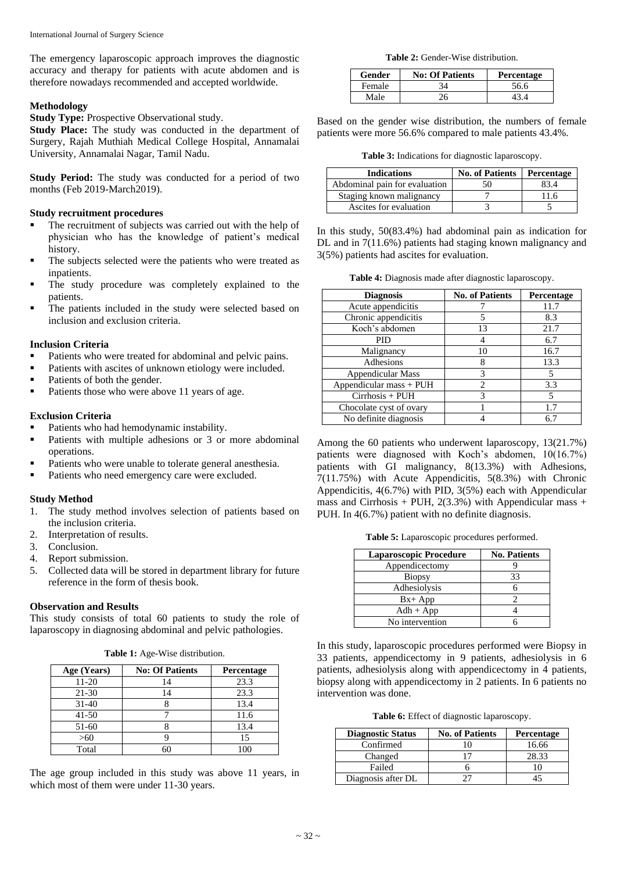The emergency laparoscopic approach improves the diagnostic accuracy and therapy for patients with acute abdomen and is therefore nowadays recommended and accepted worldwide.

# **Methodology**

**Study Type:** Prospective Observational study.

**Study Place:** The study was conducted in the department of Surgery, Rajah Muthiah Medical College Hospital, Annamalai University, Annamalai Nagar, Tamil Nadu.

**Study Period:** The study was conducted for a period of two months (Feb 2019-March2019).

# **Study recruitment procedures**

- The recruitment of subjects was carried out with the help of physician who has the knowledge of patient's medical history.
- The subjects selected were the patients who were treated as inpatients.
- The study procedure was completely explained to the patients.
- The patients included in the study were selected based on inclusion and exclusion criteria.

# **Inclusion Criteria**

- Patients who were treated for abdominal and pelvic pains.
- Patients with ascites of unknown etiology were included.
- Patients of both the gender.
- Patients those who were above 11 years of age.

# **Exclusion Criteria**

- Patients who had hemodynamic instability.
- Patients with multiple adhesions or 3 or more abdominal operations.
- Patients who were unable to tolerate general anesthesia.
- Patients who need emergency care were excluded.

# **Study Method**

- 1. The study method involves selection of patients based on the inclusion criteria.
- 2. Interpretation of results.<br>3. Conclusion.
- Conclusion.
- 4. Report submission.
- 5. Collected data will be stored in department library for future reference in the form of thesis book.

# **Observation and Results**

This study consists of total 60 patients to study the role of laparoscopy in diagnosing abdominal and pelvic pathologies.

|  |  |  |  | Table 1: Age-Wise distribution. |  |
|--|--|--|--|---------------------------------|--|
|--|--|--|--|---------------------------------|--|

| Age (Years) | <b>No: Of Patients</b> | <b>Percentage</b> |
|-------------|------------------------|-------------------|
| 11-20       | 14                     | 23.3              |
| 21-30       | 14                     | 23.3              |
| $31 - 40$   |                        | 13.4              |
| $41 - 50$   |                        | 11.6              |
| 51-60       |                        | 13.4              |
| >60         |                        |                   |
| Total       |                        | 1 O C             |

The age group included in this study was above 11 years, in which most of them were under 11-30 years.

**Table 2:** Gender-Wise distribution.

| Gender | <b>No: Of Patients</b> | <b>Percentage</b> |
|--------|------------------------|-------------------|
| Female | 34                     | 56.6              |
| Male   |                        |                   |

Based on the gender wise distribution, the numbers of female patients were more 56.6% compared to male patients 43.4%.

**Table 3:** Indications for diagnostic laparoscopy.

| <b>Indications</b>            | <b>No. of Patients</b> | Percentage |
|-------------------------------|------------------------|------------|
| Abdominal pain for evaluation | 50                     | 33 A       |
| Staging known malignancy      |                        | 16         |
| Ascites for evaluation        |                        |            |

In this study, 50(83.4%) had abdominal pain as indication for DL and in 7(11.6%) patients had staging known malignancy and 3(5%) patients had ascites for evaluation.

**Table 4:** Diagnosis made after diagnostic laparoscopy.

| <b>Diagnosis</b>         | <b>No. of Patients</b> | <b>Percentage</b> |
|--------------------------|------------------------|-------------------|
| Acute appendicitis       |                        | 11.7              |
| Chronic appendicitis     |                        | 8.3               |
| Koch's abdomen           | 13                     | 21.7              |
| <b>PID</b>               |                        | 6.7               |
| Malignancy               | 10                     | 16.7              |
| Adhesions                | 8                      | 13.3              |
| <b>Appendicular Mass</b> | 3                      | 5                 |
| Appendicular mass + PUH  | $\overline{c}$         | 3.3               |
| $Cirhosis + PUH$         | 3                      | 5                 |
| Chocolate cyst of ovary  |                        | 1.7               |
| No definite diagnosis    |                        | 6.7               |

Among the 60 patients who underwent laparoscopy, 13(21.7%) patients were diagnosed with Koch's abdomen, 10(16.7%) patients with GI malignancy, 8(13.3%) with Adhesions, 7(11.75%) with Acute Appendicitis, 5(8.3%) with Chronic Appendicitis, 4(6.7%) with PID, 3(5%) each with Appendicular mass and Cirrhosis + PUH,  $2(3.3\%)$  with Appendicular mass + PUH. In 4(6.7%) patient with no definite diagnosis.

**Table 5:** Laparoscopic procedures performed.

| <b>Laparoscopic Procedure</b> | <b>No. Patients</b> |
|-------------------------------|---------------------|
| Appendicectomy                |                     |
| <b>Biopsy</b>                 | 33                  |
| Adhesiolysis                  |                     |
| $Bx+App$                      |                     |
| $Adh + App$                   |                     |
| No intervention               |                     |

In this study, laparoscopic procedures performed were Biopsy in 33 patients, appendicectomy in 9 patients, adhesiolysis in 6 patients, adhesiolysis along with appendicectomy in 4 patients, biopsy along with appendicectomy in 2 patients. In 6 patients no intervention was done.

**Table 6:** Effect of diagnostic laparoscopy.

| <b>Diagnostic Status</b> | <b>No. of Patients</b> | Percentage |
|--------------------------|------------------------|------------|
| Confirmed                |                        | 16.66      |
| Changed                  |                        | 28.33      |
| Failed                   |                        |            |
| Diagnosis after DL       |                        |            |